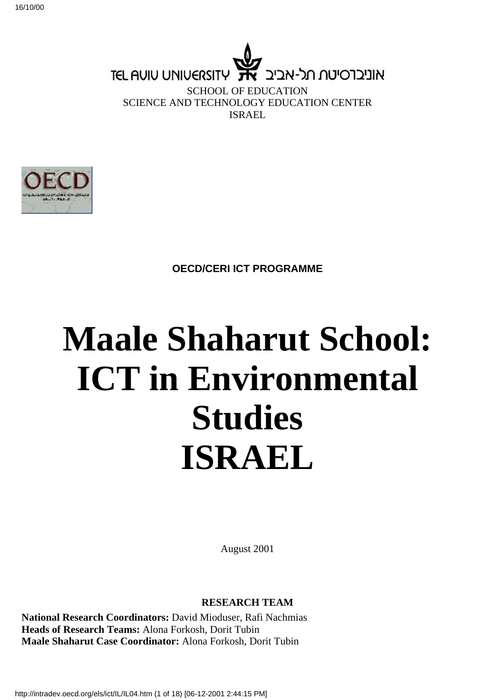

SCHOOL OF EDUCATION SCIENCE AND TECHNOLOGY EDUCATION CENTER ISRAEL



**OECD/CERI ICT PROGRAMME**

# **Maale Shaharut School: ICT in Environmental Studies ISRAEL**

August 2001

#### **RESEARCH TEAM**

**National Research Coordinators:** David Mioduser, Rafi Nachmias **Heads of Research Teams:** Alona Forkosh, Dorit Tubin **Maale Shaharut Case Coordinator:** Alona Forkosh, Dorit Tubin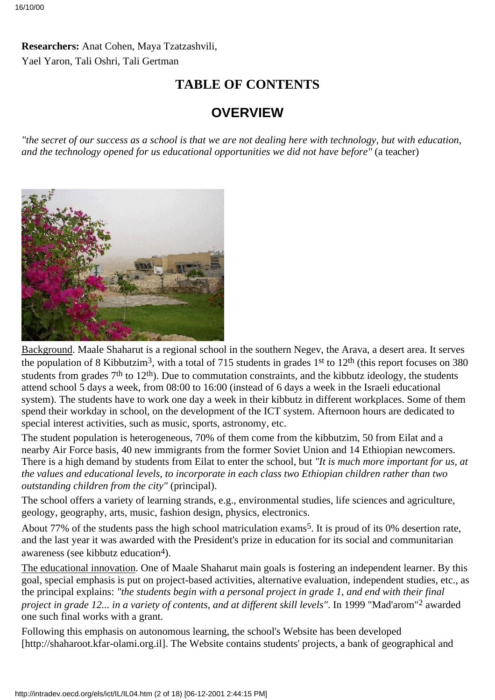### **Researchers:** Anat Cohen, Maya Tzatzashvili, Yael Yaron, Tali Oshri, Tali Gertman

## **TABLE OF CONTENTS**

# **OVERVIEW**

*"the secret of our success as a school is that we are not dealing here with technology, but with education, and the technology opened for us educational opportunities we did not have before"* (a teacher)



Background. Maale Shaharut is a regional school in the southern Negev, the Arava, a desert area. It serves the population of 8 Kibbutzim<sup>3</sup>, with a total of 715 students in grades 1<sup>st</sup> to 12<sup>th</sup> (this report focuses on 380) students from grades 7<sup>th</sup> to 12<sup>th</sup>). Due to commutation constraints, and the kibbutz ideology, the students attend school 5 days a week, from 08:00 to 16:00 (instead of 6 days a week in the Israeli educational system). The students have to work one day a week in their kibbutz in different workplaces. Some of them spend their workday in school, on the development of the ICT system. Afternoon hours are dedicated to special interest activities, such as music, sports, astronomy, etc.

The student population is heterogeneous, 70% of them come from the kibbutzim, 50 from Eilat and a nearby Air Force basis, 40 new immigrants from the former Soviet Union and 14 Ethiopian newcomers. There is a high demand by students from Eilat to enter the school, but *"It is much more important for us, at the values and educational levels, to incorporate in each class two Ethiopian children rather than two outstanding children from the city"* (principal).

The school offers a variety of learning strands, e.g., environmental studies, life sciences and agriculture, geology, geography, arts, music, fashion design, physics, electronics.

About 77% of the students pass the high school matriculation exams5. It is proud of its 0% desertion rate, and the last year it was awarded with the President's prize in education for its social and communitarian awareness (see kibbutz education<sup>4</sup>).

The educational innovation. One of Maale Shaharut main goals is fostering an independent learner. By this goal, special emphasis is put on project-based activities, alternative evaluation, independent studies, etc., as the principal explains: *"the students begin with a personal project in grade 1, and end with their final project in grade 12... in a variety of contents, and at different skill levels"*. In 1999 "Mad'arom"2 awarded one such final works with a grant.

Following this emphasis on autonomous learning, the school's Website has been developed [http://shaharoot.kfar-olami.org.il]. The Website contains students' projects, a bank of geographical and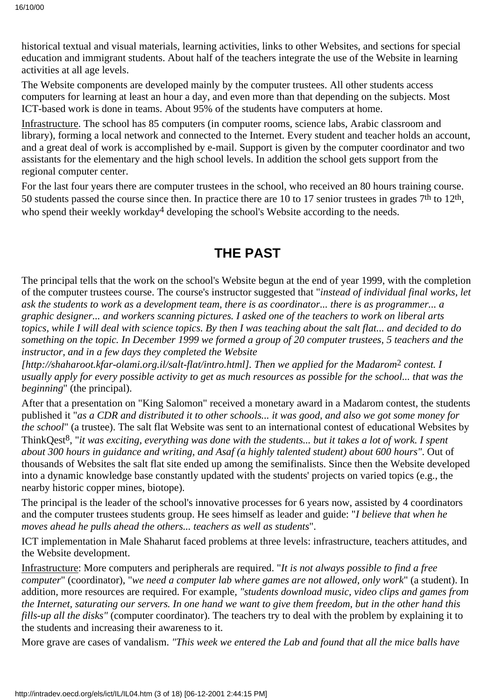historical textual and visual materials, learning activities, links to other Websites, and sections for special education and immigrant students. About half of the teachers integrate the use of the Website in learning activities at all age levels.

The Website components are developed mainly by the computer trustees. All other students access computers for learning at least an hour a day, and even more than that depending on the subjects. Most ICT-based work is done in teams. About 95% of the students have computers at home.

Infrastructure. The school has 85 computers (in computer rooms, science labs, Arabic classroom and library), forming a local network and connected to the Internet. Every student and teacher holds an account, and a great deal of work is accomplished by e-mail. Support is given by the computer coordinator and two assistants for the elementary and the high school levels. In addition the school gets support from the regional computer center.

For the last four years there are computer trustees in the school, who received an 80 hours training course. 50 students passed the course since then. In practice there are 10 to 17 senior trustees in grades  $7<sup>th</sup>$  to  $12<sup>th</sup>$ , who spend their weekly workday<sup>4</sup> developing the school's Website according to the needs.

# **THE PAST**

The principal tells that the work on the school's Website begun at the end of year 1999, with the completion of the computer trustees course. The course's instructor suggested that "*instead of individual final works, let ask the students to work as a development team, there is as coordinator... there is as programmer... a graphic designer... and workers scanning pictures. I asked one of the teachers to work on liberal arts topics, while I will deal with science topics. By then I was teaching about the salt flat... and decided to do something on the topic. In December 1999 we formed a group of 20 computer trustees, 5 teachers and the instructor, and in a few days they completed the Website*

*[http://shaharoot.kfar-olami.org.il/salt-flat/intro.html]. Then we applied for the Madarom*2 *contest. I usually apply for every possible activity to get as much resources as possible for the school... that was the beginning*" (the principal).

After that a presentation on "King Salomon" received a monetary award in a Madarom contest, the students published it "*as a CDR and distributed it to other schools... it was good, and also we got some money for the school*" (a trustee). The salt flat Website was sent to an international contest of educational Websites by ThinkQest8, "*it was exciting, everything was done with the students... but it takes a lot of work. I spent about 300 hours in guidance and writing, and Asaf (a highly talented student) about 600 hours"*. Out of thousands of Websites the salt flat site ended up among the semifinalists. Since then the Website developed into a dynamic knowledge base constantly updated with the students' projects on varied topics (e.g., the nearby historic copper mines, biotope).

The principal is the leader of the school's innovative processes for 6 years now, assisted by 4 coordinators and the computer trustees students group. He sees himself as leader and guide: "*I believe that when he moves ahead he pulls ahead the others... teachers as well as students*".

ICT implementation in Male Shaharut faced problems at three levels: infrastructure, teachers attitudes, and the Website development.

Infrastructure: More computers and peripherals are required. "*It is not always possible to find a free computer*" (coordinator), "*we need a computer lab where games are not allowed, only work*" (a student). In addition, more resources are required. For example, *"students download music, video clips and games from the Internet, saturating our servers. In one hand we want to give them freedom, but in the other hand this fills-up all the disks"* (computer coordinator). The teachers try to deal with the problem by explaining it to the students and increasing their awareness to it.

More grave are cases of vandalism. *"This week we entered the Lab and found that all the mice balls have*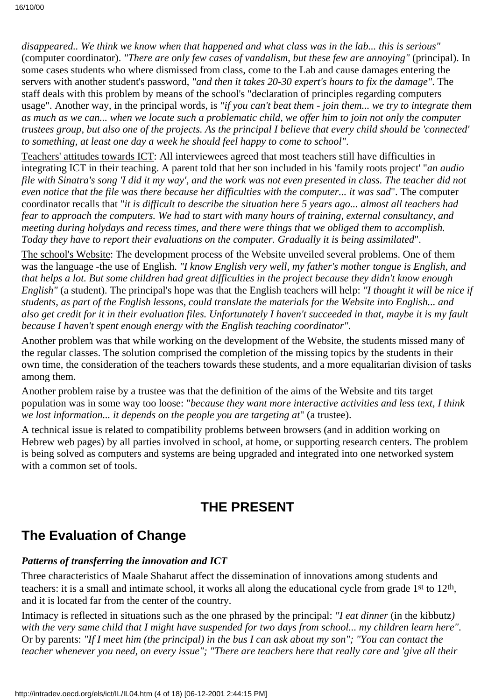*disappeared.. We think we know when that happened and what class was in the lab... this is serious"* (computer coordinator). *"There are only few cases of vandalism, but these few are annoying"* (principal). In some cases students who where dismissed from class, come to the Lab and cause damages entering the servers with another student's password, *"and then it takes 20-30 expert's hours to fix the damage"*. The staff deals with this problem by means of the school's "declaration of principles regarding computers usage". Another way, in the principal words, is *"if you can't beat them - join them... we try to integrate them as much as we can... when we locate such a problematic child, we offer him to join not only the computer trustees group, but also one of the projects. As the principal I believe that every child should be 'connected' to something, at least one day a week he should feel happy to come to school"*.

Teachers' attitudes towards ICT: All interviewees agreed that most teachers still have difficulties in integrating ICT in their teaching. A parent told that her son included in his 'family roots project' "*an audio file with Sinatra's song 'I did it my way', and the work was not even presented in class. The teacher did not even notice that the file was there because her difficulties with the computer... it was sad*". The computer coordinator recalls that "*it is difficult to describe the situation here 5 years ago... almost all teachers had fear to approach the computers. We had to start with many hours of training, external consultancy, and meeting during holydays and recess times, and there were things that we obliged them to accomplish. Today they have to report their evaluations on the computer. Gradually it is being assimilated*".

The school's Website: The development process of the Website unveiled several problems. One of them was the language -the use of English. *"I know English very well, my father's mother tongue is English, and that helps a lot. But some children had great difficulties in the project because they didn't know enough English"* (a student). The principal's hope was that the English teachers will help: *"I thought it will be nice if students, as part of the English lessons, could translate the materials for the Website into English... and also get credit for it in their evaluation files. Unfortunately I haven't succeeded in that, maybe it is my fault because I haven't spent enough energy with the English teaching coordinator"*.

Another problem was that while working on the development of the Website, the students missed many of the regular classes. The solution comprised the completion of the missing topics by the students in their own time, the consideration of the teachers towards these students, and a more equalitarian division of tasks among them.

Another problem raise by a trustee was that the definition of the aims of the Website and tits target population was in some way too loose: "*because they want more interactive activities and less text, I think we lost information... it depends on the people you are targeting at*" (a trustee).

A technical issue is related to compatibility problems between browsers (and in addition working on Hebrew web pages) by all parties involved in school, at home, or supporting research centers. The problem is being solved as computers and systems are being upgraded and integrated into one networked system with a common set of tools.

# **THE PRESENT**

# **The Evaluation of Change**

### *Patterns of transferring the innovation and ICT*

Three characteristics of Maale Shaharut affect the dissemination of innovations among students and teachers: it is a small and intimate school, it works all along the educational cycle from grade 1st to 12th, and it is located far from the center of the country.

Intimacy is reflected in situations such as the one phrased by the principal: *"I eat dinner* (in the kibbutz*) with the very same child that I might have suspended for two days from school... my children learn here"*. Or by parents: *"If I meet him (the principal) in the bus I can ask about my son"; "You can contact the teacher whenever you need, on every issue"; "There are teachers here that really care and 'give all their*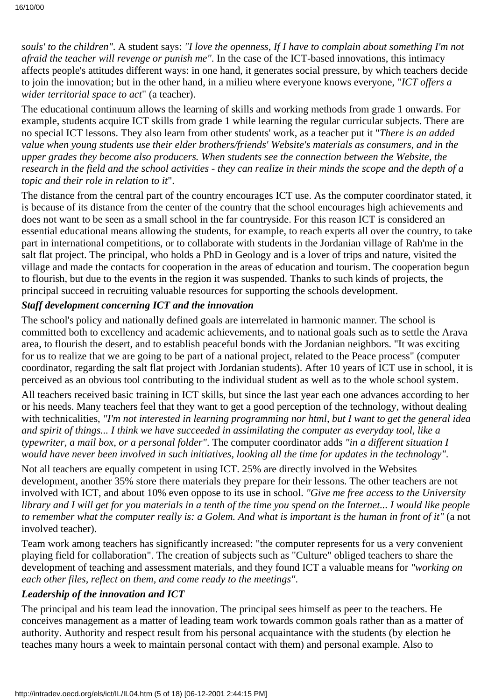*souls' to the children"*. A student says: *"I love the openness, If I have to complain about something I'm not afraid the teacher will revenge or punish me"*. In the case of the ICT-based innovations, this intimacy affects people's attitudes different ways: in one hand, it generates social pressure, by which teachers decide to join the innovation; but in the other hand, in a milieu where everyone knows everyone, "*ICT offers a wider territorial space to act*" (a teacher).

The educational continuum allows the learning of skills and working methods from grade 1 onwards. For example, students acquire ICT skills from grade 1 while learning the regular curricular subjects. There are no special ICT lessons. They also learn from other students' work, as a teacher put it "*There is an added value when young students use their elder brothers/friends' Website's materials as consumers, and in the upper grades they become also producers. When students see the connection between the Website, the research in the field and the school activities - they can realize in their minds the scope and the depth of a topic and their role in relation to it*".

The distance from the central part of the country encourages ICT use. As the computer coordinator stated, it is because of its distance from the center of the country that the school encourages high achievements and does not want to be seen as a small school in the far countryside. For this reason ICT is considered an essential educational means allowing the students, for example, to reach experts all over the country, to take part in international competitions, or to collaborate with students in the Jordanian village of Rah'me in the salt flat project. The principal, who holds a PhD in Geology and is a lover of trips and nature, visited the village and made the contacts for cooperation in the areas of education and tourism. The cooperation begun to flourish, but due to the events in the region it was suspended. Thanks to such kinds of projects, the principal succeed in recruiting valuable resources for supporting the schools development.

#### *Staff development concerning ICT and the innovation*

The school's policy and nationally defined goals are interrelated in harmonic manner. The school is committed both to excellency and academic achievements, and to national goals such as to settle the Arava area, to flourish the desert, and to establish peaceful bonds with the Jordanian neighbors. "It was exciting for us to realize that we are going to be part of a national project, related to the Peace process" (computer coordinator, regarding the salt flat project with Jordanian students). After 10 years of ICT use in school, it is perceived as an obvious tool contributing to the individual student as well as to the whole school system.

All teachers received basic training in ICT skills, but since the last year each one advances according to her or his needs. Many teachers feel that they want to get a good perception of the technology, without dealing with technicalities, *"I'm not interested in learning programming nor html, but I want to get the general idea and spirit of things... I think we have succeeded in assimilating the computer as everyday tool, like a typewriter, a mail box, or a personal folder"*. The computer coordinator adds *"in a different situation I would have never been involved in such initiatives, looking all the time for updates in the technology"*.

Not all teachers are equally competent in using ICT. 25% are directly involved in the Websites development, another 35% store there materials they prepare for their lessons. The other teachers are not involved with ICT, and about 10% even oppose to its use in school. *"Give me free access to the University library and I will get for you materials in a tenth of the time you spend on the Internet... I would like people to remember what the computer really is: a Golem. And what is important is the human in front of it"* (a not involved teacher).

Team work among teachers has significantly increased: "the computer represents for us a very convenient playing field for collaboration". The creation of subjects such as "Culture" obliged teachers to share the development of teaching and assessment materials, and they found ICT a valuable means for *"working on each other files, reflect on them, and come ready to the meetings"*.

#### *Leadership of the innovation and ICT*

The principal and his team lead the innovation. The principal sees himself as peer to the teachers. He conceives management as a matter of leading team work towards common goals rather than as a matter of authority. Authority and respect result from his personal acquaintance with the students (by election he teaches many hours a week to maintain personal contact with them) and personal example. Also to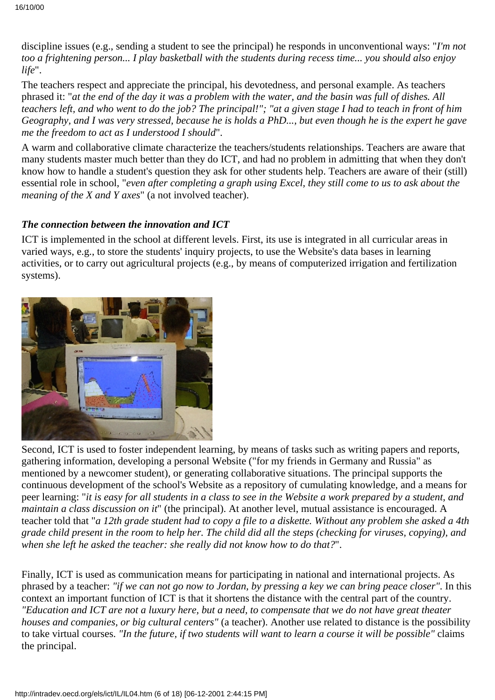discipline issues (e.g., sending a student to see the principal) he responds in unconventional ways: "*I'm not too a frightening person... I play basketball with the students during recess time... you should also enjoy life*".

The teachers respect and appreciate the principal, his devotedness, and personal example. As teachers phrased it: "*at the end of the day it was a problem with the water, and the basin was full of dishes. All teachers left, and who went to do the job? The principal!"; "at a given stage I had to teach in front of him Geography, and I was very stressed, because he is holds a PhD..., but even though he is the expert he gave me the freedom to act as I understood I should*".

A warm and collaborative climate characterize the teachers/students relationships. Teachers are aware that many students master much better than they do ICT, and had no problem in admitting that when they don't know how to handle a student's question they ask for other students help. Teachers are aware of their (still) essential role in school, "*even after completing a graph using Excel, they still come to us to ask about the meaning of the X and Y axes*" (a not involved teacher).

#### *The connection between the innovation and ICT*

ICT is implemented in the school at different levels. First, its use is integrated in all curricular areas in varied ways, e.g., to store the students' inquiry projects, to use the Website's data bases in learning activities, or to carry out agricultural projects (e.g., by means of computerized irrigation and fertilization systems).



Second, ICT is used to foster independent learning, by means of tasks such as writing papers and reports, gathering information, developing a personal Website ("for my friends in Germany and Russia" as mentioned by a newcomer student), or generating collaborative situations. The principal supports the continuous development of the school's Website as a repository of cumulating knowledge, and a means for peer learning: "*it is easy for all students in a class to see in the Website a work prepared by a student, and maintain a class discussion on it*" (the principal). At another level, mutual assistance is encouraged. A teacher told that "*a 12th grade student had to copy a file to a diskette. Without any problem she asked a 4th grade child present in the room to help her. The child did all the steps (checking for viruses, copying), and when she left he asked the teacher: she really did not know how to do that?*".

Finally, ICT is used as communication means for participating in national and international projects. As phrased by a teacher: *"if we can not go now to Jordan, by pressing a key we can bring peace closer"*. In this context an important function of ICT is that it shortens the distance with the central part of the country. *"Education and ICT are not a luxury here, but a need, to compensate that we do not have great theater houses and companies, or big cultural centers"* (a teacher). Another use related to distance is the possibility to take virtual courses. *"In the future, if two students will want to learn a course it will be possible"* claims the principal.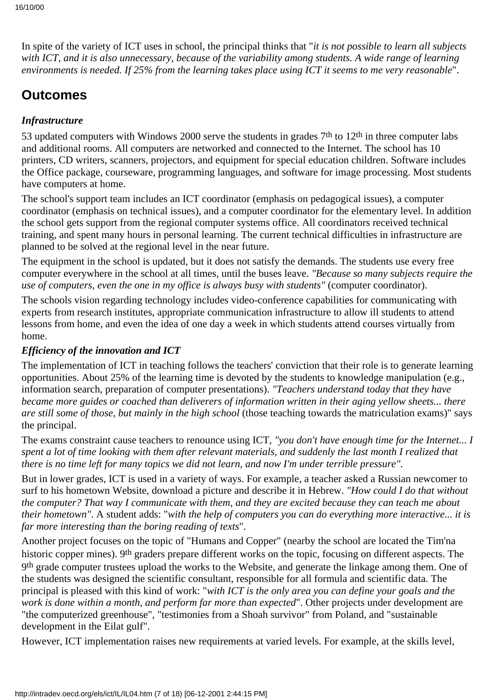In spite of the variety of ICT uses in school, the principal thinks that "*it is not possible to learn all subjects with ICT, and it is also unnecessary, because of the variability among students. A wide range of learning environments is needed. If 25% from the learning takes place using ICT it seems to me very reasonable*".

# **Outcomes**

### *Infrastructure*

53 updated computers with Windows 2000 serve the students in grades 7<sup>th</sup> to 12<sup>th</sup> in three computer labs and additional rooms. All computers are networked and connected to the Internet. The school has 10 printers, CD writers, scanners, projectors, and equipment for special education children. Software includes the Office package, courseware, programming languages, and software for image processing. Most students have computers at home.

The school's support team includes an ICT coordinator (emphasis on pedagogical issues), a computer coordinator (emphasis on technical issues), and a computer coordinator for the elementary level. In addition the school gets support from the regional computer systems office. All coordinators received technical training, and spent many hours in personal learning. The current technical difficulties in infrastructure are planned to be solved at the regional level in the near future.

The equipment in the school is updated, but it does not satisfy the demands. The students use every free computer everywhere in the school at all times, until the buses leave. *"Because so many subjects require the use of computers, even the one in my office is always busy with students"* (computer coordinator).

The schools vision regarding technology includes video-conference capabilities for communicating with experts from research institutes, appropriate communication infrastructure to allow ill students to attend lessons from home, and even the idea of one day a week in which students attend courses virtually from home.

### *Efficiency of the innovation and ICT*

The implementation of ICT in teaching follows the teachers' conviction that their role is to generate learning opportunities. About 25% of the learning time is devoted by the students to knowledge manipulation (e.g., information search, preparation of computer presentations). *"Teachers understand today that they have became more guides or coached than deliverers of information written in their aging yellow sheets... there are still some of those, but mainly in the high school* (those teaching towards the matriculation exams)" says the principal.

The exams constraint cause teachers to renounce using ICT, *"you don't have enough time for the Internet... I spent a lot of time looking with them after relevant materials, and suddenly the last month I realized that there is no time left for many topics we did not learn, and now I'm under terrible pressure"*.

But in lower grades, ICT is used in a variety of ways. For example, a teacher asked a Russian newcomer to surf to his hometown Website, download a picture and describe it in Hebrew. *"How could I do that without the computer? That way I communicate with them, and they are excited because they can teach me about their hometown"*. A student adds: "*with the help of computers you can do everything more interactive... it is far more interesting than the boring reading of texts*".

Another project focuses on the topic of "Humans and Copper" (nearby the school are located the Tim'na historic copper mines). 9<sup>th</sup> graders prepare different works on the topic, focusing on different aspects. The 9th grade computer trustees upload the works to the Website, and generate the linkage among them. One of the students was designed the scientific consultant, responsible for all formula and scientific data. The principal is pleased with this kind of work: "*with ICT is the only area you can define your goals and the work is done within a month, and perform far more than expected*". Other projects under development are "the computerized greenhouse", "testimonies from a Shoah survivor" from Poland, and "sustainable development in the Eilat gulf".

However, ICT implementation raises new requirements at varied levels. For example, at the skills level,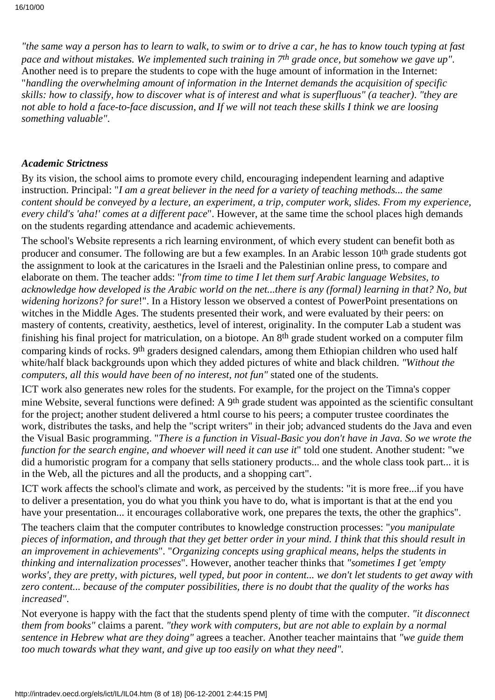*"the same way a person has to learn to walk, to swim or to drive a car, he has to know touch typing at fast pace and without mistakes. We implemented such training in 7th grade once, but somehow we gave up"*. Another need is to prepare the students to cope with the huge amount of information in the Internet: "*handling the overwhelming amount of information in the Internet demands the acquisition of specific skills: how to classify, how to discover what is of interest and what is superfluous" (a teacher)*. *"they are not able to hold a face-to-face discussion, and If we will not teach these skills I think we are loosing something valuable"*.

#### *Academic Strictness*

By its vision, the school aims to promote every child, encouraging independent learning and adaptive instruction. Principal: "*I am a great believer in the need for a variety of teaching methods... the same content should be conveyed by a lecture, an experiment, a trip, computer work, slides. From my experience, every child's 'aha!' comes at a different pace*". However, at the same time the school places high demands on the students regarding attendance and academic achievements.

The school's Website represents a rich learning environment, of which every student can benefit both as producer and consumer. The following are but a few examples. In an Arabic lesson 10th grade students got the assignment to look at the caricatures in the Israeli and the Palestinian online press, to compare and elaborate on them. The teacher adds: "*from time to time I let them surf Arabic language Websites, to acknowledge how developed is the Arabic world on the net...there is any (formal) learning in that? No, but widening horizons? for sure*!". In a History lesson we observed a contest of PowerPoint presentations on witches in the Middle Ages. The students presented their work, and were evaluated by their peers: on mastery of contents, creativity, aesthetics, level of interest, originality. In the computer Lab a student was finishing his final project for matriculation, on a biotope. An 8th grade student worked on a computer film comparing kinds of rocks. 9th graders designed calendars, among them Ethiopian children who used half white/half black backgrounds upon which they added pictures of white and black children. *"Without the computers, all this would have been of no interest, not fun"* stated one of the students.

ICT work also generates new roles for the students. For example, for the project on the Timna's copper mine Website, several functions were defined: A 9<sup>th</sup> grade student was appointed as the scientific consultant for the project; another student delivered a html course to his peers; a computer trustee coordinates the work, distributes the tasks, and help the "script writers" in their job; advanced students do the Java and even the Visual Basic programming. "*There is a function in Visual-Basic you don't have in Java. So we wrote the function for the search engine, and whoever will need it can use it*" told one student. Another student: "we did a humoristic program for a company that sells stationery products... and the whole class took part... it is in the Web, all the pictures and all the products, and a shopping cart".

ICT work affects the school's climate and work, as perceived by the students: "it is more free...if you have to deliver a presentation, you do what you think you have to do, what is important is that at the end you have your presentation... it encourages collaborative work, one prepares the texts, the other the graphics".

The teachers claim that the computer contributes to knowledge construction processes: "*you manipulate pieces of information, and through that they get better order in your mind. I think that this should result in an improvement in achievements*". "*Organizing concepts using graphical means, helps the students in thinking and internalization processes*". However, another teacher thinks that *"sometimes I get 'empty works', they are pretty, with pictures, well typed, but poor in content... we don't let students to get away with zero content... because of the computer possibilities, there is no doubt that the quality of the works has increased"*.

Not everyone is happy with the fact that the students spend plenty of time with the computer. *"it disconnect them from books"* claims a parent. *"they work with computers, but are not able to explain by a normal sentence in Hebrew what are they doing"* agrees a teacher. Another teacher maintains that *"we guide them too much towards what they want, and give up too easily on what they need".*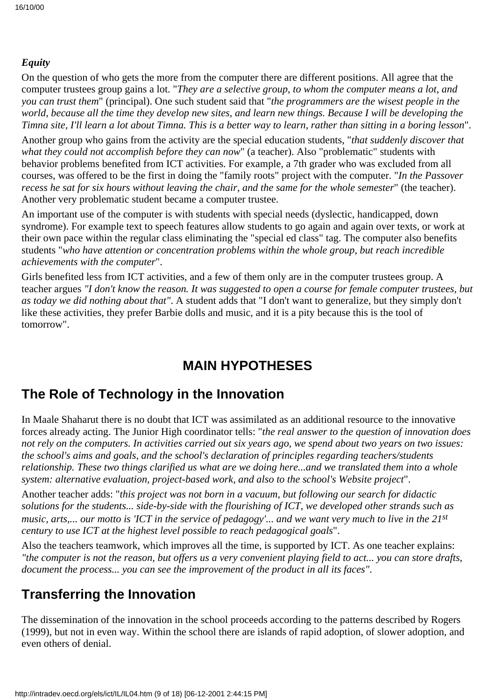### *Equity*

On the question of who gets the more from the computer there are different positions. All agree that the computer trustees group gains a lot. "*They are a selective group, to whom the computer means a lot, and you can trust them*" (principal). One such student said that "*the programmers are the wisest people in the world, because all the time they develop new sites, and learn new things. Because I will be developing the Timna site, I'll learn a lot about Timna. This is a better way to learn, rather than sitting in a boring lesson*".

Another group who gains from the activity are the special education students, "*that suddenly discover that* what they could not accomplish before they can now" (a teacher). Also "problematic" students with behavior problems benefited from ICT activities. For example, a 7th grader who was excluded from all courses, was offered to be the first in doing the "family roots" project with the computer. "*In the Passover recess he sat for six hours without leaving the chair, and the same for the whole semester*" (the teacher). Another very problematic student became a computer trustee.

An important use of the computer is with students with special needs (dyslectic, handicapped, down syndrome). For example text to speech features allow students to go again and again over texts, or work at their own pace within the regular class eliminating the "special ed class" tag. The computer also benefits students "*who have attention or concentration problems within the whole group, but reach incredible achievements with the computer*".

Girls benefited less from ICT activities, and a few of them only are in the computer trustees group. A teacher argues *"I don't know the reason. It was suggested to open a course for female computer trustees, but as today we did nothing about that"*. A student adds that "I don't want to generalize, but they simply don't like these activities, they prefer Barbie dolls and music, and it is a pity because this is the tool of tomorrow".

## **MAIN HYPOTHESES**

### **The Role of Technology in the Innovation**

In Maale Shaharut there is no doubt that ICT was assimilated as an additional resource to the innovative forces already acting. The Junior High coordinator tells: "*the real answer to the question of innovation does not rely on the computers. In activities carried out six years ago, we spend about two years on two issues: the school's aims and goals, and the school's declaration of principles regarding teachers/students relationship. These two things clarified us what are we doing here...and we translated them into a whole system: alternative evaluation, project-based work, and also to the school's Website project*".

Another teacher adds: "*this project was not born in a vacuum, but following our search for didactic solutions for the students... side-by-side with the flourishing of ICT, we developed other strands such as music, arts,... our motto is 'ICT in the service of pedagogy'... and we want very much to live in the 21st century to use ICT at the highest level possible to reach pedagogical goals*".

Also the teachers teamwork, which improves all the time, is supported by ICT. As one teacher explains: *"the computer is not the reason, but offers us a very convenient playing field to act... you can store drafts, document the process... you can see the improvement of the product in all its faces"*.

## **Transferring the Innovation**

The dissemination of the innovation in the school proceeds according to the patterns described by Rogers (1999), but not in even way. Within the school there are islands of rapid adoption, of slower adoption, and even others of denial.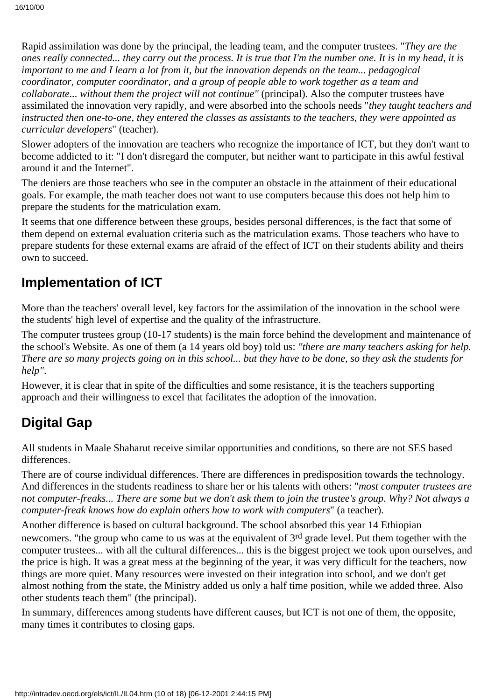Rapid assimilation was done by the principal, the leading team, and the computer trustees. "*They are the ones really connected... they carry out the process. It is true that I'm the number one. It is in my head, it is important to me and I learn a lot from it, but the innovation depends on the team... pedagogical coordinator, computer coordinator, and a group of people able to work together as a team and collaborate... without them the project will not continue"* (principal). Also the computer trustees have assimilated the innovation very rapidly, and were absorbed into the schools needs "*they taught teachers and instructed then one-to-one, they entered the classes as assistants to the teachers, they were appointed as curricular developers*" (teacher).

Slower adopters of the innovation are teachers who recognize the importance of ICT, but they don't want to become addicted to it: "I don't disregard the computer, but neither want to participate in this awful festival around it and the Internet".

The deniers are those teachers who see in the computer an obstacle in the attainment of their educational goals. For example, the math teacher does not want to use computers because this does not help him to prepare the students for the matriculation exam.

It seems that one difference between these groups, besides personal differences, is the fact that some of them depend on external evaluation criteria such as the matriculation exams. Those teachers who have to prepare students for these external exams are afraid of the effect of ICT on their students ability and theirs own to succeed.

### **Implementation of ICT**

More than the teachers' overall level, key factors for the assimilation of the innovation in the school were the students' high level of expertise and the quality of the infrastructure.

The computer trustees group (10-17 students) is the main force behind the development and maintenance of the school's Website. As one of them (a 14 years old boy) told us: *"there are many teachers asking for help. There are so many projects going on in this school... but they have to be done, so they ask the students for help"*.

However, it is clear that in spite of the difficulties and some resistance, it is the teachers supporting approach and their willingness to excel that facilitates the adoption of the innovation.

# **Digital Gap**

All students in Maale Shaharut receive similar opportunities and conditions, so there are not SES based differences.

There are of course individual differences. There are differences in predisposition towards the technology. And differences in the students readiness to share her or his talents with others: "*most computer trustees are not computer-freaks... There are some but we don't ask them to join the trustee's group. Why? Not always a computer-freak knows how do explain others how to work with computers*" (a teacher).

Another difference is based on cultural background. The school absorbed this year 14 Ethiopian newcomers. "the group who came to us was at the equivalent of 3<sup>rd</sup> grade level. Put them together with the computer trustees... with all the cultural differences... this is the biggest project we took upon ourselves, and the price is high. It was a great mess at the beginning of the year, it was very difficult for the teachers, now things are more quiet. Many resources were invested on their integration into school, and we don't get almost nothing from the state, the Ministry added us only a half time position, while we added three. Also other students teach them" (the principal).

In summary, differences among students have different causes, but ICT is not one of them, the opposite, many times it contributes to closing gaps.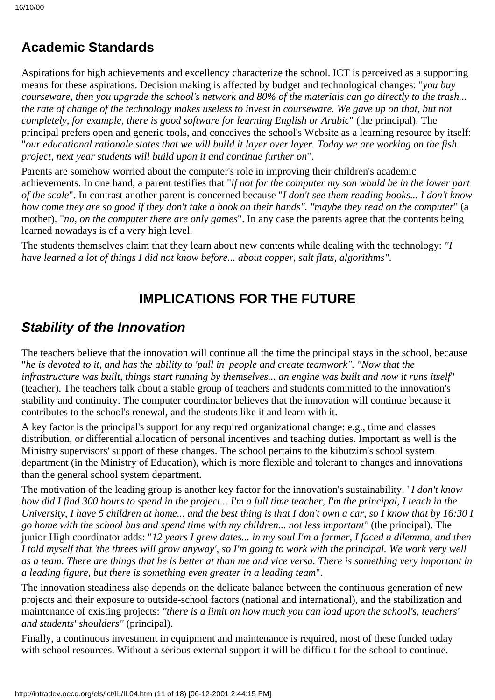# **Academic Standards**

Aspirations for high achievements and excellency characterize the school. ICT is perceived as a supporting means for these aspirations. Decision making is affected by budget and technological changes: "*you buy courseware, then you upgrade the school's network and 80% of the materials can go directly to the trash... the rate of change of the technology makes useless to invest in courseware. We gave up on that, but not completely, for example, there is good software for learning English or Arabic*" (the principal). The principal prefers open and generic tools, and conceives the school's Website as a learning resource by itself: "*our educational rationale states that we will build it layer over layer. Today we are working on the fish project, next year students will build upon it and continue further on*".

Parents are somehow worried about the computer's role in improving their children's academic achievements. In one hand, a parent testifies that "*if not for the computer my son would be in the lower part of the scale*". In contrast another parent is concerned because "*I don't see them reading books... I don't know how come they are so good if they don't take a book on their hands". "maybe they read on the computer*" (a mother). "*no, on the computer there are only games*". In any case the parents agree that the contents being learned nowadays is of a very high level.

The students themselves claim that they learn about new contents while dealing with the technology: *"I have learned a lot of things I did not know before... about copper, salt flats, algorithms"*.

# **IMPLICATIONS FOR THE FUTURE**

# **Stability of the Innovation**

The teachers believe that the innovation will continue all the time the principal stays in the school, because "*he is devoted to it, and has the ability to 'pull in' people and create teamwork". "Now that the infrastructure was built, things start running by themselves... an engine was built and now it runs itself*" (teacher). The teachers talk about a stable group of teachers and students committed to the innovation's stability and continuity. The computer coordinator believes that the innovation will continue because it contributes to the school's renewal, and the students like it and learn with it.

A key factor is the principal's support for any required organizational change: e.g., time and classes distribution, or differential allocation of personal incentives and teaching duties. Important as well is the Ministry supervisors' support of these changes. The school pertains to the kibutzim's school system department (in the Ministry of Education), which is more flexible and tolerant to changes and innovations than the general school system department.

The motivation of the leading group is another key factor for the innovation's sustainability. "*I don't know how did I find 300 hours to spend in the project... I'm a full time teacher, I'm the principal, I teach in the University, I have 5 children at home... and the best thing is that I don't own a car, so I know that by 16:30 I go home with the school bus and spend time with my children... not less important"* (the principal). The junior High coordinator adds: "*12 years I grew dates... in my soul I'm a farmer, I faced a dilemma, and then I told myself that 'the threes will grow anyway', so I'm going to work with the principal. We work very well as a team. There are things that he is better at than me and vice versa. There is something very important in a leading figure, but there is something even greater in a leading team*".

The innovation steadiness also depends on the delicate balance between the continuous generation of new projects and their exposure to outside-school factors (national and international), and the stabilization and maintenance of existing projects: *"there is a limit on how much you can load upon the school's, teachers' and students' shoulders"* (principal).

Finally, a continuous investment in equipment and maintenance is required, most of these funded today with school resources. Without a serious external support it will be difficult for the school to continue.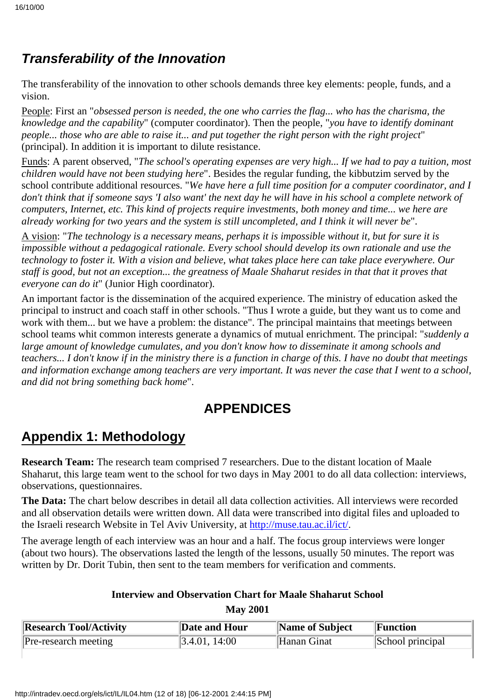# **Transferability of the Innovation**

The transferability of the innovation to other schools demands three key elements: people, funds, and a vision.

People: First an "*obsessed person is needed, the one who carries the flag... who has the charisma, the knowledge and the capability*" (computer coordinator). Then the people, "*you have to identify dominant people... those who are able to raise it... and put together the right person with the right project*" (principal). In addition it is important to dilute resistance.

Funds: A parent observed, "*The school's operating expenses are very high... If we had to pay a tuition, most children would have not been studying here*". Besides the regular funding, the kibbutzim served by the school contribute additional resources. "*We have here a full time position for a computer coordinator, and I don't think that if someone says 'I also want' the next day he will have in his school a complete network of computers, Internet, etc. This kind of projects require investments, both money and time... we here are already working for two years and the system is still uncompleted, and I think it will never be*".

A vision: "*The technology is a necessary means, perhaps it is impossible without it, but for sure it is impossible without a pedagogical rationale. Every school should develop its own rationale and use the technology to foster it. With a vision and believe, what takes place here can take place everywhere. Our staff is good, but not an exception... the greatness of Maale Shaharut resides in that that it proves that everyone can do it*" (Junior High coordinator).

An important factor is the dissemination of the acquired experience. The ministry of education asked the principal to instruct and coach staff in other schools. "Thus I wrote a guide, but they want us to come and work with them... but we have a problem: the distance". The principal maintains that meetings between school teams whit common interests generate a dynamics of mutual enrichment. The principal: "*suddenly a large amount of knowledge cumulates, and you don't know how to disseminate it among schools and teachers... I don't know if in the ministry there is a function in charge of this. I have no doubt that meetings and information exchange among teachers are very important. It was never the case that I went to a school, and did not bring something back home*".

# **APPENDICES**

# **Appendix 1: Methodology**

**Research Team:** The research team comprised 7 researchers. Due to the distant location of Maale Shaharut, this large team went to the school for two days in May 2001 to do all data collection: interviews, observations, questionnaires.

**The Data:** The chart below describes in detail all data collection activities. All interviews were recorded and all observation details were written down. All data were transcribed into digital files and uploaded to the Israeli research Website in Tel Aviv University, at [http://muse.tau.ac.il/ict/.](http://muse.tau.ac.il/ict/)

The average length of each interview was an hour and a half. The focus group interviews were longer (about two hours). The observations lasted the length of the lessons, usually 50 minutes. The report was written by Dr. Dorit Tubin, then sent to the team members for verification and comments.

# **Interview and Observation Chart for Maale Shaharut School**

| <b>May 2001</b> |  |
|-----------------|--|
|-----------------|--|

| <b>Research Tool/Activity</b> | Date and Hour             | Name of Subject | Function         |
|-------------------------------|---------------------------|-----------------|------------------|
| Pre-research meeting          | $\parallel$ 3.4.01, 14:00 | Hanan Ginat     | School principal |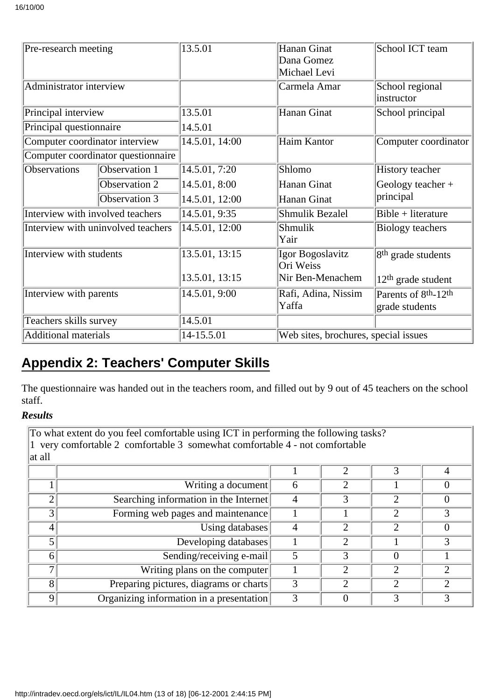| Pre-research meeting             |                                    | 13.5.01        | Hanan Ginat                          | School ICT team                              |  |
|----------------------------------|------------------------------------|----------------|--------------------------------------|----------------------------------------------|--|
|                                  |                                    |                | Dana Gomez                           |                                              |  |
|                                  |                                    |                | Michael Levi                         |                                              |  |
| Administrator interview          |                                    |                | Carmela Amar                         | School regional                              |  |
|                                  |                                    |                |                                      | instructor                                   |  |
| Principal interview              |                                    | 13.5.01        | Hanan Ginat                          | School principal                             |  |
| Principal questionnaire          |                                    | 14.5.01        |                                      |                                              |  |
| Computer coordinator interview   |                                    | 14.5.01, 14.00 | Haim Kantor                          | Computer coordinator                         |  |
|                                  | Computer coordinator questionnaire |                |                                      |                                              |  |
| <b>Observations</b>              | Observation 1                      | 14.5.01, 7:20  | Shlomo                               | History teacher                              |  |
|                                  | <b>Observation 2</b>               | 14.5.01, 8:00  | Hanan Ginat                          | Geology teacher +                            |  |
|                                  | Observation 3                      | 14.5.01, 12:00 | Hanan Ginat                          | principal                                    |  |
| Interview with involved teachers |                                    | 14.5.01, 9:35  | <b>Shmulik Bezalel</b>               | $Bible + literature$                         |  |
|                                  | Interview with uninvolved teachers | 14.5.01, 12:00 | Shmulik                              | <b>Biology teachers</b>                      |  |
|                                  |                                    |                | Yair                                 |                                              |  |
| Interview with students          |                                    | 13.5.01, 13:15 | Igor Bogoslavitz                     | 8 <sup>th</sup> grade students               |  |
|                                  |                                    |                | Ori Weiss                            |                                              |  |
|                                  |                                    | 13.5.01, 13:15 | Nir Ben-Menachem                     | $12th$ grade student                         |  |
| Interview with parents           |                                    | 14.5.01, 9:00  | Rafi, Adina, Nissim                  | Parents of 8 <sup>th</sup> -12 <sup>th</sup> |  |
|                                  |                                    |                | Yaffa                                | grade students                               |  |
| Teachers skills survey           |                                    | 14.5.01        |                                      |                                              |  |
| Additional materials             |                                    | 14-15.5.01     | Web sites, brochures, special issues |                                              |  |

# **Appendix 2: Teachers' Computer Skills**

The questionnaire was handed out in the teachers room, and filled out by 9 out of 45 teachers on the school staff.

### *Results*

To what extent do you feel comfortable using ICT in performing the following tasks? 1 very comfortable 2 comfortable 3 somewhat comfortable  $\overline{4}$  - not comfortable  $\|$ at all

|                | Writing a document                       | h |  |  |
|----------------|------------------------------------------|---|--|--|
| ⌒              | Searching information in the Internet    |   |  |  |
| 3 <sub>l</sub> | Forming web pages and maintenance        |   |  |  |
| 4              | Using databases                          |   |  |  |
|                | Developing databases                     |   |  |  |
| 6              | Sending/receiving e-mail                 |   |  |  |
|                | Writing plans on the computer            |   |  |  |
| 8              | Preparing pictures, diagrams or charts   |   |  |  |
| 9              | Organizing information in a presentation |   |  |  |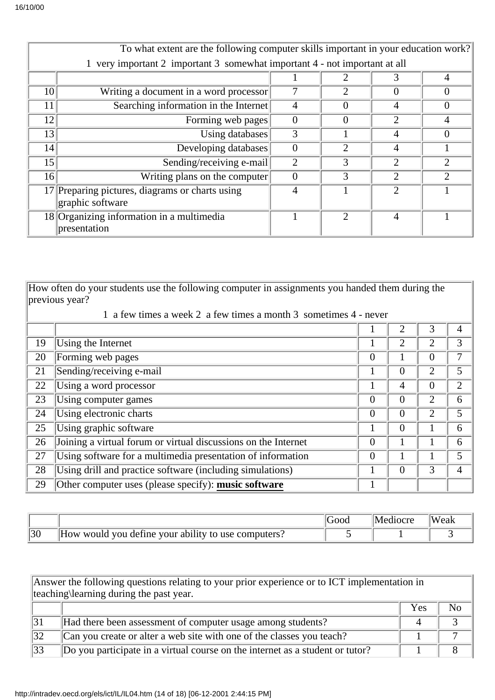|                 | To what extent are the following computer skills important in your education work? |                |                       |                |                |  |
|-----------------|------------------------------------------------------------------------------------|----------------|-----------------------|----------------|----------------|--|
|                 | very important 2 important 3 somewhat important 4 - not important at all           |                |                       |                |                |  |
|                 |                                                                                    |                |                       |                |                |  |
| 10              | Writing a document in a word processor                                             |                | $\mathcal{D}_{\cdot}$ | 0              | 0              |  |
| 11              | Searching information in the Internet                                              | $\overline{4}$ | $\theta$              | 4              | $\theta$       |  |
| 12              | Forming web pages                                                                  | $\Omega$       | $\mathcal{O}$         | $\overline{2}$ | 4              |  |
| 13              | Using databases                                                                    | 3              |                       | 4              | 0              |  |
| 14              | Developing databases                                                               | $\Omega$       | $\mathcal{D}_{\cdot}$ | $\overline{4}$ |                |  |
| 15 <sup>1</sup> | Sending/receiving e-mail                                                           | $\overline{2}$ | 3                     | $\overline{2}$ | $\overline{2}$ |  |
| 16              | Writing plans on the computer                                                      | $\Omega$       | 3                     | $\overline{2}$ | $\overline{c}$ |  |
|                 | 17 Preparing pictures, diagrams or charts using                                    | 4              |                       | 2              |                |  |
|                 | graphic software                                                                   |                |                       |                |                |  |
|                 | 18 Organizing information in a multimedia                                          |                | っ                     | $\overline{4}$ |                |  |
|                 | presentation                                                                       |                |                       |                |                |  |

How often do your students use the following computer in assignments you handed them during the previous year?

|    | a few times a week 2 a few times a month 3 sometimes 4 - never |                |                |                |                |  |  |
|----|----------------------------------------------------------------|----------------|----------------|----------------|----------------|--|--|
|    |                                                                |                |                | 3              | 4              |  |  |
| 19 | Using the Internet                                             |                | 2              | $\overline{2}$ | 3              |  |  |
| 20 | Forming web pages                                              | $\overline{0}$ |                | $\overline{0}$ | 7              |  |  |
| 21 | Sending/receiving e-mail                                       |                | $\theta$       | 2              | 5              |  |  |
| 22 | Using a word processor                                         | л.             | $\overline{4}$ | $\theta$       | $\overline{2}$ |  |  |
| 23 | Using computer games                                           | $\theta$       | $\Omega$       | 2              | 6              |  |  |
| 24 | Using electronic charts                                        | $\overline{0}$ | $\Omega$       | $\overline{2}$ | 5              |  |  |
| 25 | Using graphic software                                         |                | $\Omega$       |                | 6              |  |  |
| 26 | Joining a virtual forum or virtual discussions on the Internet | $\overline{0}$ |                |                | 6              |  |  |
| 27 | Using software for a multimedia presentation of information    | $\overline{0}$ |                |                | 5              |  |  |
| 28 | Using drill and practice software (including simulations)      |                | $\Omega$       | 3              | $\overline{4}$ |  |  |
| 29 | Other computer uses (please specify): music software           |                |                |                |                |  |  |

|    |                                                                                                | $\sim$ $\sim$ $\sim$ | 'Weak |
|----|------------------------------------------------------------------------------------------------|----------------------|-------|
| 30 | .<br>$\sim$<br>your<br>ability<br>puters.<br>would<br><b>VOII</b><br>define<br>ΩW<br>ίO<br>use |                      |       |

| Answer the following questions relating to your prior experience or to ICT implementation in |                                                                               |  |  |  |  |
|----------------------------------------------------------------------------------------------|-------------------------------------------------------------------------------|--|--|--|--|
| teaching learning during the past year.                                                      |                                                                               |  |  |  |  |
|                                                                                              | <b>Yes</b>                                                                    |  |  |  |  |
| 31                                                                                           | Had there been assessment of computer usage among students?                   |  |  |  |  |
| 32                                                                                           | Can you create or alter a web site with one of the classes you teach?         |  |  |  |  |
| 33                                                                                           | Do you participate in a virtual course on the internet as a student or tutor? |  |  |  |  |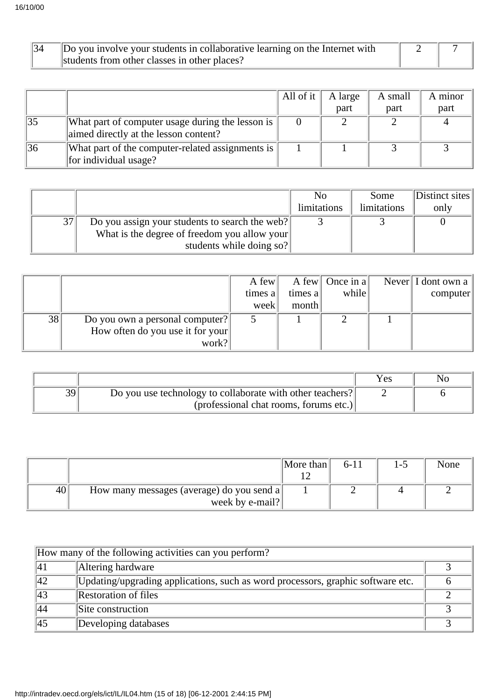| 34 | Do you involve your students in collaborative learning on the Internet with |  |
|----|-----------------------------------------------------------------------------|--|
|    | students from other classes in other places?                                |  |

|    |                                                                                           | All of it | A large | A small | A minor |
|----|-------------------------------------------------------------------------------------------|-----------|---------|---------|---------|
|    |                                                                                           |           | part    | part    | part    |
| 35 | What part of computer usage during the lesson is<br>aimed directly at the lesson content? |           |         |         |         |
| 36 | What part of the computer-related assignments is $\parallel$<br>for individual usage?     |           |         |         |         |

|    |                                                | N <sub>0</sub> | Some        | Distinct sites |
|----|------------------------------------------------|----------------|-------------|----------------|
|    |                                                | limitations    | limitations | only           |
| 37 | Do you assign your students to search the web? |                |             |                |
|    | What is the degree of freedom you allow your   |                |             |                |
|    | students while doing so?                       |                |             |                |

|    |                                  | A few   |         | A few   Once in a | Never $\vert$ I dont own a |
|----|----------------------------------|---------|---------|-------------------|----------------------------|
|    |                                  | times a | times a | while             | computer                   |
|    |                                  | week    | month   |                   |                            |
| 38 | Do you own a personal computer?  |         |         |                   |                            |
|    | How often do you use it for your |         |         |                   |                            |
|    | work?                            |         |         |                   |                            |

|    |                                                           | <b>Yes</b> |  |
|----|-----------------------------------------------------------|------------|--|
| 39 | Do you use technology to collaborate with other teachers? |            |  |
|    | $(professional chat rooms, formulas etc.)$                |            |  |

|    |                                           | More than | $6-11$ | l – 5 | None |
|----|-------------------------------------------|-----------|--------|-------|------|
|    |                                           |           |        |       |      |
| 40 | How many messages (average) do you send a |           |        |       |      |
|    | week by e-mail?                           |           |        |       |      |

| How many of the following activities can you perform? |                                                                                 |  |  |  |  |
|-------------------------------------------------------|---------------------------------------------------------------------------------|--|--|--|--|
| 41                                                    | Altering hardware                                                               |  |  |  |  |
| 42                                                    | Updating/upgrading applications, such as word processors, graphic software etc. |  |  |  |  |
| 43                                                    | <b>Restoration of files</b>                                                     |  |  |  |  |
| 44                                                    | Site construction                                                               |  |  |  |  |
| 45                                                    | Developing databases                                                            |  |  |  |  |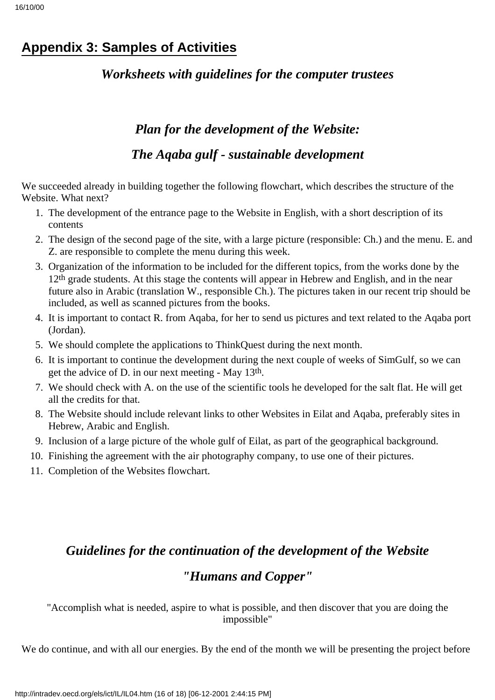# **Appendix 3: Samples of Activities**

### *Worksheets with guidelines for the computer trustees*

# *Plan for the development of the Website: The Aqaba gulf - sustainable development*

We succeeded already in building together the following flowchart, which describes the structure of the Website. What next?

- 1. The development of the entrance page to the Website in English, with a short description of its contents
- The design of the second page of the site, with a large picture (responsible: Ch.) and the menu. E. and 2. Z. are responsible to complete the menu during this week.
- 3. Organization of the information to be included for the different topics, from the works done by the 12<sup>th</sup> grade students. At this stage the contents will appear in Hebrew and English, and in the near future also in Arabic (translation W., responsible Ch.). The pictures taken in our recent trip should be included, as well as scanned pictures from the books.
- 4. It is important to contact R. from Aqaba, for her to send us pictures and text related to the Aqaba port (Jordan).
- 5. We should complete the applications to ThinkQuest during the next month.
- 6. It is important to continue the development during the next couple of weeks of SimGulf, so we can get the advice of D. in our next meeting - May 13th.
- We should check with A. on the use of the scientific tools he developed for the salt flat. He will get 7. all the credits for that.
- The Website should include relevant links to other Websites in Eilat and Aqaba, preferably sites in 8. Hebrew, Arabic and English.
- 9. Inclusion of a large picture of the whole gulf of Eilat, as part of the geographical background.
- 10. Finishing the agreement with the air photography company, to use one of their pictures.
- 11. Completion of the Websites flowchart.

# *Guidelines for the continuation of the development of the Website "Humans and Copper"*

"Accomplish what is needed, aspire to what is possible, and then discover that you are doing the impossible"

We do continue, and with all our energies. By the end of the month we will be presenting the project before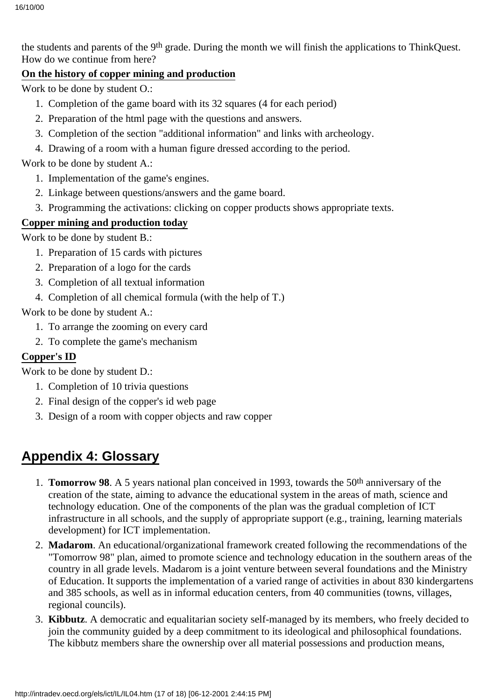the students and parents of the 9<sup>th</sup> grade. During the month we will finish the applications to ThinkQuest. How do we continue from here?

### **On the history of copper mining and production**

Work to be done by student O.:

- 1. Completion of the game board with its 32 squares (4 for each period)
- 2. Preparation of the html page with the questions and answers.
- 3. Completion of the section "additional information" and links with archeology.
- Drawing of a room with a human figure dressed according to the period.4.

Work to be done by student A.:

- 1. Implementation of the game's engines.
- 2. Linkage between questions/answers and the game board.
- 3. Programming the activations: clicking on copper products shows appropriate texts.

### **Copper mining and production today**

Work to be done by student B.:

- 1. Preparation of 15 cards with pictures
- 2. Preparation of a logo for the cards
- 3. Completion of all textual information
- 4. Completion of all chemical formula (with the help of T.)

Work to be done by student A.:

- 1. To arrange the zooming on every card
- 2. To complete the game's mechanism

### **Copper's ID**

Work to be done by student D.:

- 1. Completion of 10 trivia questions
- 2. Final design of the copper's id web page
- 3. Design of a room with copper objects and raw copper

# **Appendix 4: Glossary**

- 1. **Tomorrow 98**. A 5 years national plan conceived in 1993, towards the 50<sup>th</sup> anniversary of the creation of the state, aiming to advance the educational system in the areas of math, science and technology education. One of the components of the plan was the gradual completion of ICT infrastructure in all schools, and the supply of appropriate support (e.g., training, learning materials development) for ICT implementation.
- **Madarom**. An educational/organizational framework created following the recommendations of the 2. "Tomorrow 98" plan, aimed to promote science and technology education in the southern areas of the country in all grade levels. Madarom is a joint venture between several foundations and the Ministry of Education. It supports the implementation of a varied range of activities in about 830 kindergartens and 385 schools, as well as in informal education centers, from 40 communities (towns, villages, regional councils).
- **Kibbutz**. A democratic and equalitarian society self-managed by its members, who freely decided to 3. join the community guided by a deep commitment to its ideological and philosophical foundations. The kibbutz members share the ownership over all material possessions and production means,